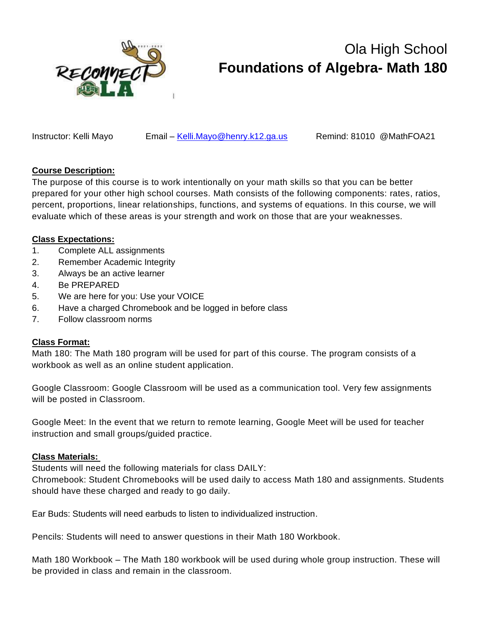

# Ola High School **Foundations of Algebra- Math 180**

Instructor: Kelli Mayo Email – [Kelli.Mayo@henry.k12.ga.us](mailto:Kelli.Mayo@henry.k12.ga.us) Remind: 81010 @MathFOA21

# **Course Description:**

The purpose of this course is to work intentionally on your math skills so that you can be better prepared for your other high school courses. Math consists of the following components: rates, ratios, percent, proportions, linear relationships, functions, and systems of equations. In this course, we will evaluate which of these areas is your strength and work on those that are your weaknesses.

## **Class Expectations:**

- 1. Complete ALL assignments
- 2. Remember Academic Integrity
- 3. Always be an active learner
- 4. Be PREPARED
- 5. We are here for you: Use your VOICE
- 6. Have a charged Chromebook and be logged in before class
- 7. Follow classroom norms

#### **Class Format:**

Math 180: The Math 180 program will be used for part of this course. The program consists of a workbook as well as an online student application.

Google Classroom: Google Classroom will be used as a communication tool. Very few assignments will be posted in Classroom.

Google Meet: In the event that we return to remote learning, Google Meet will be used for teacher instruction and small groups/guided practice.

#### **Class Materials:**

Students will need the following materials for class DAILY:

Chromebook: Student Chromebooks will be used daily to access Math 180 and assignments. Students should have these charged and ready to go daily.

Ear Buds: Students will need earbuds to listen to individualized instruction.

Pencils: Students will need to answer questions in their Math 180 Workbook.

Math 180 Workbook – The Math 180 workbook will be used during whole group instruction. These will be provided in class and remain in the classroom.